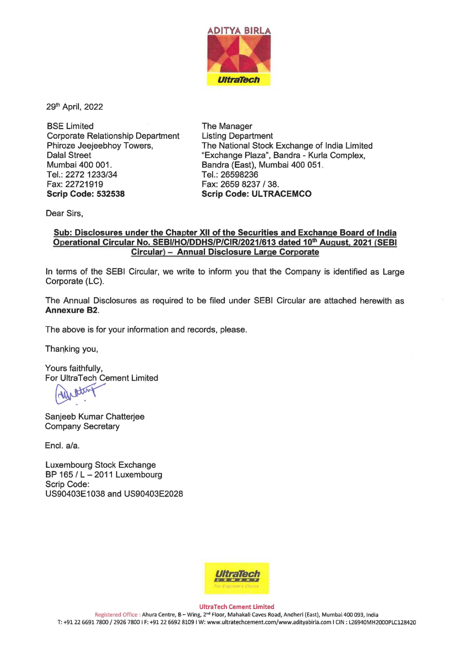

29th April, 2022

BSE Limited Corporate Relationship Department Phiroze Jeejeebhoy Towers, Dalal Street Mumbai 400 001. Tel.: 2272 1233/34 Fax:22721919 **Scrip Code: 532538** 

The Manager Listing Department The National Stock Exchange of India Limited "Exchange Plaza", Sandra - Kurla Complex, Bandra (East), Mumbai 400 051. Tel.:26598236 Fax: 2659 8237 / 38. **Scrip Code: ULTRACEMCO** 

Dear Sirs,

## **Sub: Disclosures under the Chapter XII of the Securities and Exchange Board of India**  Operational Circular No. SEBI/HO/DDHS/P/CIR/2021/613 dated 10<sup>th</sup> August, 2021 (SEBI **Circular)** - **Annual Disclosure Large Corporate**

In terms of the SEBI Circular, we write to inform you that the Company is identified as Large Corporate (LC).

The Annual Disclosures as required to be filed under SEBI Circular are attached herewith as **Annexure 82.** 

The above is for your information and records, please.

Thanking you,

Yours faithfully, For UltraTech Cement Limited urs faithfully,<br>r UltraTech Cement Limited<br>MUNIX<br>njeeb Kumar Chatterjee

Sanjeeb Kumar Chatterjee Company Secretary

Encl. a/a.

Luxembourg Stock Exchange BP 165 /  $L - 2011$  Luxembourg Scrip Code: US90403E1038 and US90403E2028



**UltraTech Cement Limited**